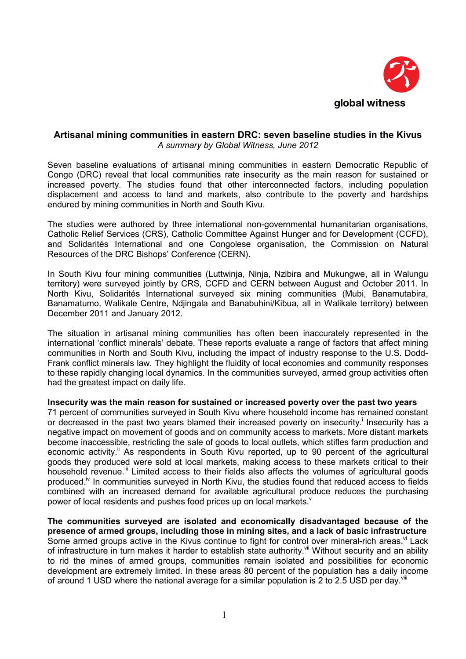

# <span id="page-0-0"></span>**Artisanal mining communities in eastern DRC: seven baseline studies in the Kivus**  *A summary by Global Witness, June 2012*

Seven baseline evaluations of artisanal mining communities in eastern Democratic Republic of Congo (DRC) reveal that local communities rate insecurity as the main reason for sustained or increased poverty. The studies found that other interconnected factors, including population displacement and access to land and markets, also contribute to the poverty and hardships endured by mining communities in North and South Kivu.

The studies were authored by three international non-governmental humanitarian organisations, Catholic Relief Services (CRS), Catholic Committee Against Hunger and for Development (CCFD), and Solidarités International and one Congolese organisation, the Commission on Natural Resources of the DRC Bishops' Conference (CERN).

In South [Kivu four mining communities](http://www.ipisresearch.be/mapping.php) (Luttwinja, Ninja, Nzibira and Mukungwe, all in Walungu territory) were surveyed jointly by CRS, CCFD and CERN between August and October 2011. In North Kivu, Solidarités International surveyed six mining communities (Mubi, Banamutabira, Banamatumo, Walikale Centre, Ndjingala and Banabuhini/Kibua, all in Walikale territory) between December 2011 and January 2012.

The situation in artisanal mining communities has often been inaccurately represented in the international 'conflict minerals' debate. These reports evaluate a range of factors that affect mining communities in North and South Kivu, including the impact of industry response to the U.S. Dodd-Frank conflict minerals law. They highlight the fluidity of local economies and community responses to these rapidly changing local dynamics. In the communities surveyed, armed group activities often had the greatest impact on daily life.

#### **Insecurity was the main reason for sustained or increased poverty over the past two years**

71 percent of communities surveyed in South Kivu where household income has remained constant or decreased [i](#page-2-0)n the past two years blamed their increased poverty on insecurity.<sup>i</sup> Insecurity has a negative impact on movement of goods and on community access to markets. More distant markets become inaccessible, restricting the sale of goods to local outlets, which stifles farm production and economicactivity.<sup>ii</sup> As respondents in South Kivu reported, up to 90 percent of the agricultural goods they produced were sold at local markets, making access to these markets critical to their householdrevenue.<sup>iii</sup> Limited access to their fields also affects the volumes of agricultural goods produced.<sup> $iv$ </sup> In communities surveyed in North Kivu, the studies found that reduced access to fields combined with an increased demand for available agricultural pro[d](#page-2-0)uce reduces the purchasing power of local residents and pushes food prices up on local markets.<sup>v</sup>

**The communities surveyed are isolated and economically disadvantaged because of the presence of armed groups, including those in mining sites, and a lack of basic infrastructure** Some armed groups active in the Kivus continue to fight for control over mineral-rich areas.<sup>[vi](#page-2-0)</sup> Lack of infrastructure in turn makes it harder to establish state authority.<sup>[vii](#page-2-0)</sup> Without security and an ability to rid the mines of armed groups, communities remain isolated and possibilities for economic development are extremely limited. In these areas 80 percent of the population has a daily income of around 1 USD where the national average for a similar population is 2 to 2.5 USD per day.<sup>viii</sup>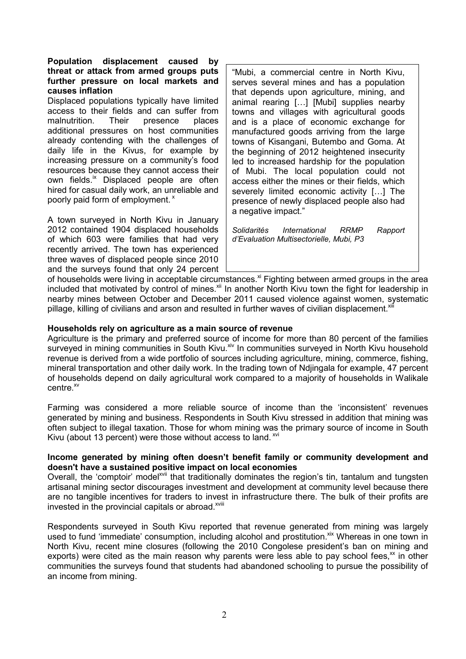## **Population displacement caused by threat or attack from armed groups puts further pressure on local markets and causes inflation**

Displaced populations typically have limited access to their fields and can suffer from malnutrition. Their presence places additional pressures on host communities already contending with the challenges of daily life in the Kivus, for example by increasing pressure on a community's food resources because they cannot access their own fields.<sup>[ix](#page-0-0)</sup> Displaced people are often hired for casual daily work, an unreliable and poorlypaid form of employment. $x$ 

A town surveyed in North Kivu in January 2012 contained 1904 displaced households of which 603 were families that had very recently arrived. The town has experienced three waves of displaced people since 2010 and the surveys found that only 24 percent

"Mubi, a commercial centre in North Kivu, serves several mines and has a population that depends upon agriculture, mining, and animal rearing […] [Mubi] supplies nearby towns and villages with agricultural goods and is a place of economic exchange for manufactured goods arriving from the large towns of Kisangani, Butembo and Goma. At the beginning of 2012 heightened insecurity led to increased hardship for the population of Mubi. The local population could not access either the mines or their fields, which severely limited economic activity […] The presence of newly displaced people also had a negative impact."

*Solidarités International RRMP Rapport d'Evaluation Multisectorielle, Mubi, P3* 

of households were living in acceptable circumstances.<sup>[xi](#page-0-0)</sup> Fighting between armed groups in the area includedthat motivated by control of mines.<sup>xii</sup> In another North Kivu town the fight for leadership in nearby mines between October and December 2011 caused violence against women, systematic pillage, killing of civilians and arson and resulted in further waves of civilian displacement.<sup>xii</sup>

## **Households rely on agriculture as a main source of revenue**

Agriculture is the primary and preferred source of income for more than 80 percent of the families surveyed in mining communities in South Kivu.<sup>[xiv](#page-0-0)</sup> In communities surveyed in North Kivu household revenue is derived from a wide portfolio of sources including agriculture, mining, commerce, fishing, mineral transportation and other daily work. In the trading town of Ndjingala for example, 47 percent of households depend on daily agricultural work compared to a majority of households in Walikale centre.<sup>[xv](#page-0-0)</sup>

Farming was considered a more reliable source of income than the 'inconsistent' revenues generated by mining and business. Respondents in South Kivu stressed in addition that mining was often subject to illegal taxation. Those for whom mining was the primary source of income in South Kivu (about 13 percent) were those without access to land. XVI

## **Income generated by mining often doesn't benefit family or community development and doesn't have a sustained positive impact on local economies**

Overall, the 'comptoir' model<sup>[xvii](#page-0-0)</sup> that traditionally dominates the region's tin, tantalum and tungsten artisanal mining sector discourages investment and development at community level because there are no tangible incentives for traders to invest in infrastructure there. The bulk of their profits are invested in the provincial capitals or abroad.<sup>[xviii](#page-0-0)</sup>

Respondents surveyed in South Kivu reported that revenue generated from mining was largely used to fund 'immediate' consumption, including alcohol and prostitution.<sup>[xix](#page-0-0)</sup> Whereas in one town in North Kivu, recent mine closures (following the 2010 Congolese president's ban on mining and exports) were cited as the main reason why parents were less able to pay school fees, $x^2$  in other communities the surveys found that students had abandoned schooling to pursue the possibility of an income from mining.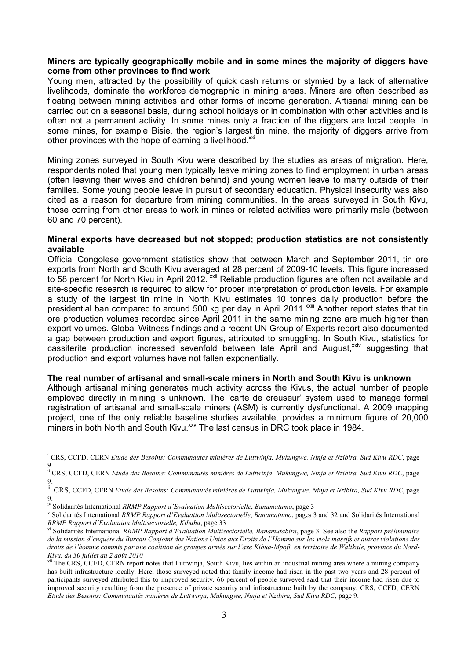## <span id="page-2-0"></span>**Miners are typically geographically mobile and in some mines the majority of diggers have come from other provinces to find work**

Young men, attracted by the possibility of quick cash returns or stymied by a lack of alternative livelihoods, dominate the workforce demographic in mining areas. Miners are often described as floating between mining activities and other forms of income generation. Artisanal mining can be carried out on a seasonal basis, during school holidays or in combination with other activities and is often not a permanent activity. In some mines only a fraction of the diggers are local people. In some mines, for example Bisie, the region's largest tin mine, the majority of diggers arrive from otherprovinces with the hope of earning a livelihood.<sup>xxi</sup>

Mining zones surveyed in South Kivu were described by the studies as areas of migration. Here, respondents noted that young men typically leave mining zones to find employment in urban areas (often leaving their wives and children behind) and young women leave to marry outside of their families. Some young people leave in pursuit of secondary education. Physical insecurity was also cited as a reason for departure from mining communities. In the areas surveyed in South Kivu, those coming from other areas to work in mines or related activities were primarily male (between 60 and 70 percent).

#### **Mineral exports have decreased but not stopped; production statistics are not consistently available**

Official Congolese government statistics show that between March and September 2011, tin ore exports from North and South Kivu averaged at 28 percent of 2009-10 levels. This figure increased to 58 percent for North Kivu in April 2012.<sup>Xxii</sup> Reliable production figures are often not available and site-specific research is required to allow for proper interpretation of production levels. For example a study of the largest tin mine in North Kivu estimates 10 tonnes daily production before the presidential ban compared to around 500 kg per day in April 2011.<sup>[xxiii](#page-0-0)</sup> Another report states that tin ore production volumes recorded since April 2011 in the same mining zone are much higher than export volumes. Global Witness findings and a recent UN Group of Experts report also documented a gap between production and export figures, attributed to smuggling. In South Kivu, statistics for cassiterite production increased sevenfold between late April and August, [xxiv](#page-0-0) suggesting that production and export volumes have not fallen exponentially.

#### **The real number of artisanal and small-scale miners in North and South Kivu is unknown**

Although artisanal mining generates much activity across the Kivus, the actual number of people employed directly in mining is unknown. The 'carte de creuseur' system used to manage formal registration of artisanal and small-scale miners (ASM) is currently dysfunctional. A 2009 mapping project, one of the only reliable baseline studies available, provides a minimum figure of 20,000 miners in both North and South Kivu.<sup>[xxv](#page-0-0)</sup> The last census in DRC took place in 1984.

 $\overline{a}$ 

i CRS, CCFD, CERN *Etude des Besoins: Communautés minières de Luttwinja, Mukungwe, Ninja et Nzibira, Sud Kivu RDC*, page 9.

ii CRS, CCFD, CERN *Etude des Besoins: Communautés minières de Luttwinja, Mukungwe, Ninja et Nzibira, Sud Kivu RDC*, page 9.

iii CRS, CCFD, CERN *Etude des Besoins: Communautés minières de Luttwinja, Mukungwe, Ninja et Nzibira, Sud Kivu RDC*, page 9.

iv Solidarités International *RRMP Rapport d'Evaluation Multisectorielle*, *Banamatumo*, page 3

v Solidarités International *RRMP Rapport d'Evaluation Multisectorielle*, *Banamatumo*, pages 3 and 32 and Solidarités International *RRMP Rapport d'Evaluation Multisectorielle, Kibuha*, page 33

vi Solidarités International *RRMP Rapport d'Evaluation Multisectorielle, Banamutabira*, page 3. See also the *Rapport préliminaire de la mission d'enquête du Bureau Conjoint des Nations Unies aux Droits de l'Homme sur les viols massifs et autres violations des droits de l'homme commis par une coalition de groupes armés sur l'axe Kibua-Mpofi, en territoire de Walikale, province du Nord-Kivu, du 30 juillet au 2 août 2010*

vii The CRS, CCFD, CERN report notes that Luttwinja, South Kivu, lies within an industrial mining area where a mining company has built infrastructure locally. Here, those surveyed noted that family income had risen in the past two years and 28 percent of participants surveyed attributed this to improved security. 66 percent of people surveyed said that their income had risen due to improved security resulting from the presence of private security and infrastructure built by the company. CRS, CCFD, CERN *Etude des Besoins: Communautés minières de Luttwinja, Mukungwe, Ninja et Nzibira, Sud Kivu RDC*, page 9.